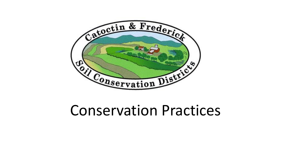

# Conservation Practices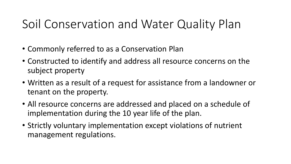# Soil Conservation and Water Quality Plan

- Commonly referred to as a Conservation Plan
- Constructed to identify and address all resource concerns on the subject property
- Written as a result of a request for assistance from a landowner or tenant on the property.
- All resource concerns are addressed and placed on a schedule of implementation during the 10 year life of the plan.
- Strictly voluntary implementation except violations of nutrient management regulations.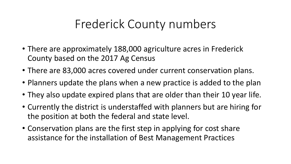## Frederick County numbers

- There are approximately 188,000 agriculture acres in Frederick County based on the 2017 Ag Census
- There are 83,000 acres covered under current conservation plans.
- Planners update the plans when a new practice is added to the plan
- They also update expired plans that are older than their 10 year life.
- Currently the district is understaffed with planners but are hiring for the position at both the federal and state level.
- Conservation plans are the first step in applying for cost share assistance for the installation of Best Management Practices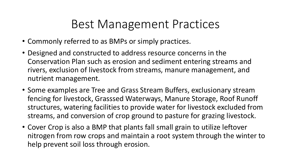### Best Management Practices

- Commonly referred to as BMPs or simply practices.
- Designed and constructed to address resource concerns in the Conservation Plan such as erosion and sediment entering streams and rivers, exclusion of livestock from streams, manure management, and nutrient management.
- Some examples are Tree and Grass Stream Buffers, exclusionary stream fencing for livestock, Grasssed Waterways, Manure Storage, Roof Runoff structures, watering facilities to provide water for livestock excluded from streams, and conversion of crop ground to pasture for grazing livestock.
- Cover Crop is also a BMP that plants fall small grain to utilize leftover nitrogen from row crops and maintain a root system through the winter to help prevent soil loss through erosion.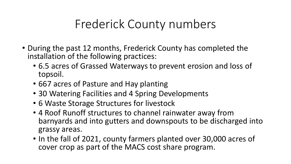# Frederick County numbers

- During the past 12 months, Frederick County has completed the installation of the following practices:
	- 6.5 acres of Grassed Waterways to prevent erosion and loss of topsoil.
	- 667 acres of Pasture and Hay planting
	- 30 Watering Facilities and 4 Spring Developments
	- 6 Waste Storage Structures for livestock
	- 4 Roof Runoff structures to channel rainwater away from barnyards and into gutters and downspouts to be discharged into grassy areas.
	- In the fall of 2021, county farmers planted over 30,000 acres of cover crop as part of the MACS cost share program.